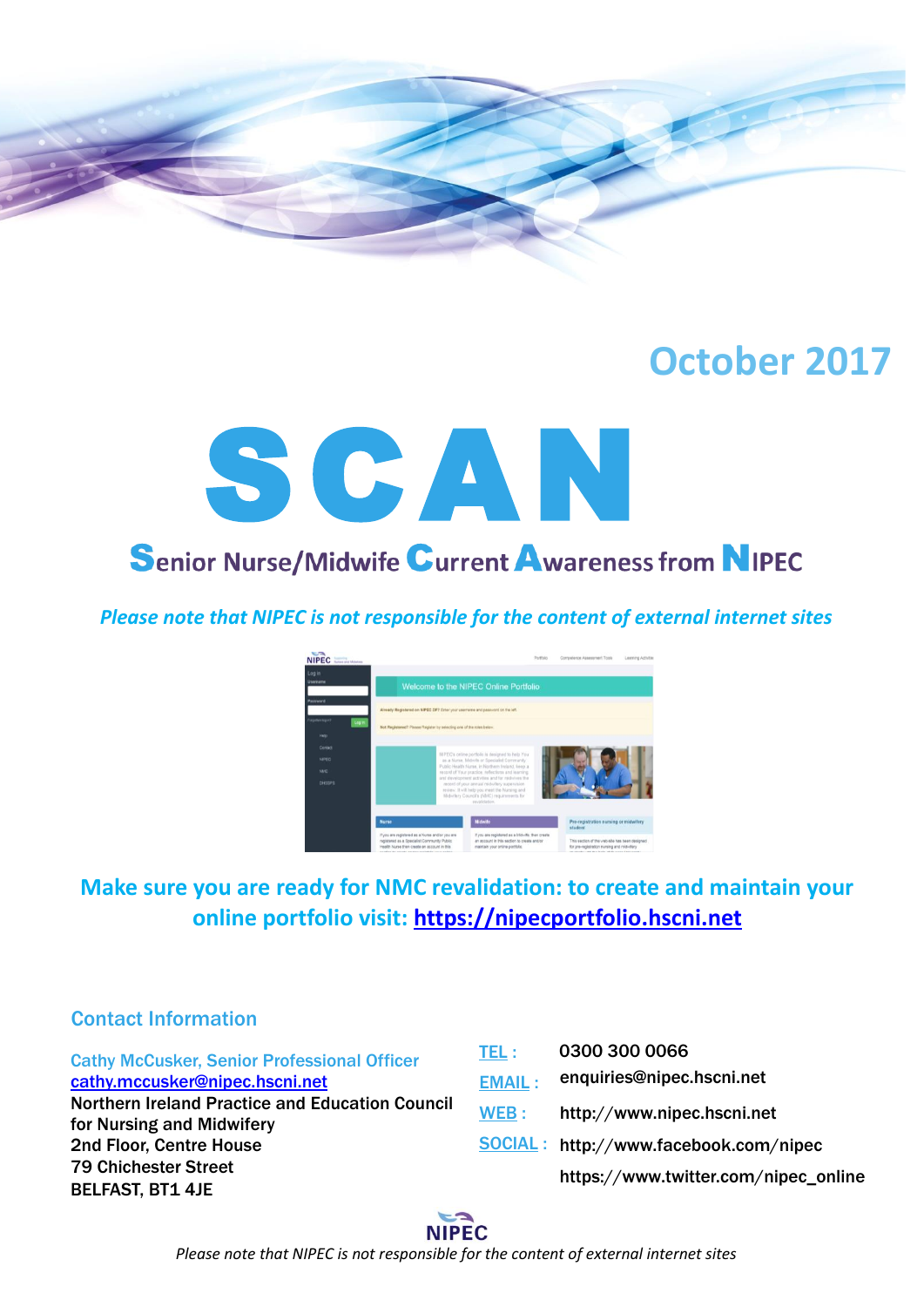

# **October 2017**



*Please note that NIPEC is not responsible for the content of external internet sites*



# **Make sure you are ready for NMC revalidation: to create and maintain your online portfolio visit: [https://nipecportfolio.hscni.net](https://nipecportfolio.hscni.net/)**

# Contact Information

Cathy McCusker, Senior Professional Officer [cathy.mccusker@nipec.hscni.net](mailto:cathy.mccusker@nipec.hscni.net) Northern Ireland Practice and Education Council for Nursing and Midwifery 2nd Floor, Centre House 79 Chichester Street BELFAST, BT1 4JE WEB:

| TEL:          | 0300 300 0066                                |
|---------------|----------------------------------------------|
| <b>EMAIL:</b> | enquiries@nipec.hscni.net                    |
| WEB :         | http://www.nipec.hscni.net                   |
|               | <b>SOCIAL: http://www.facebook.com/nipec</b> |
|               | https://www.twitter.com/nipec_online         |
|               |                                              |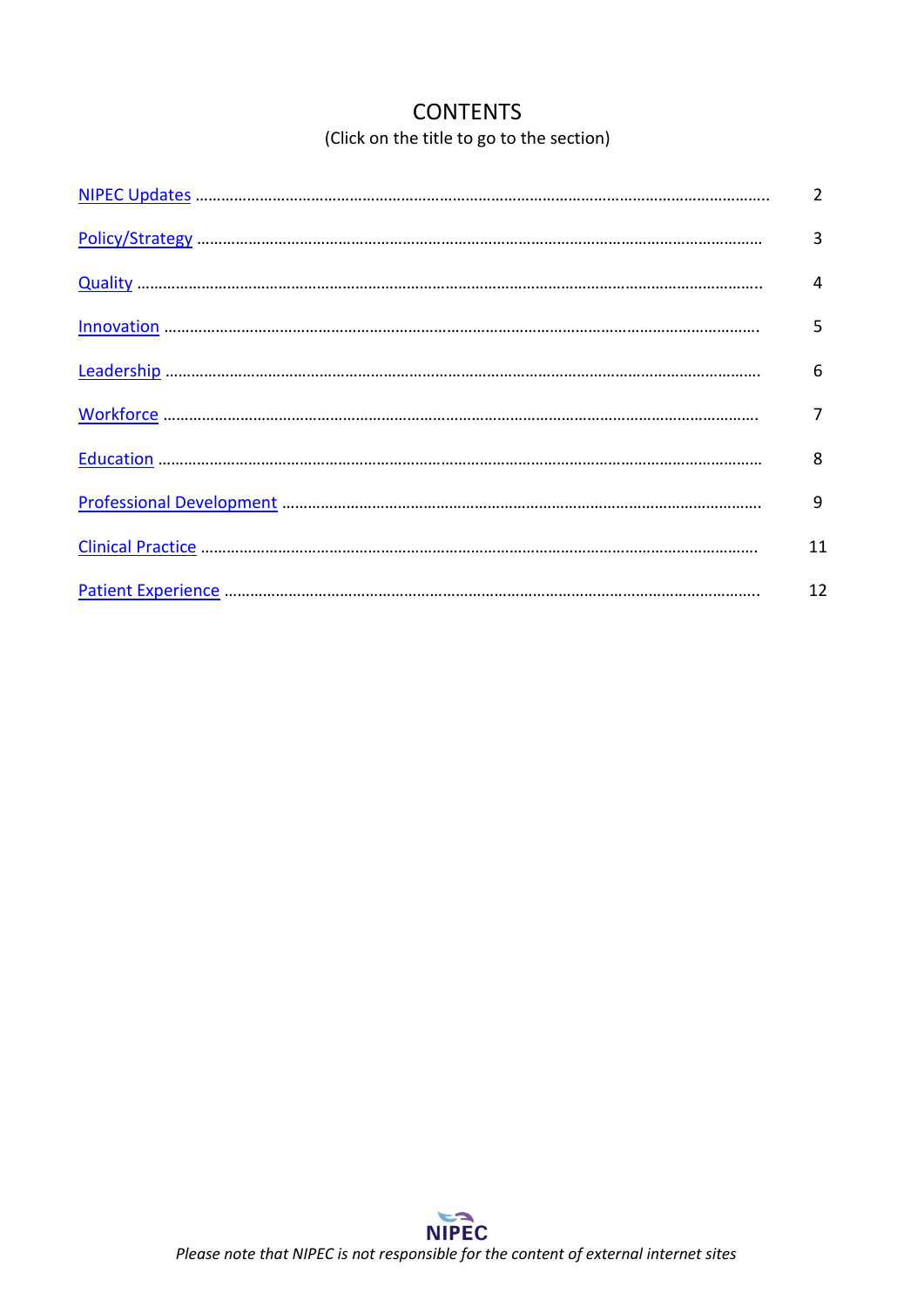# **CONTENTS** (Click on the title to go to the section)

<span id="page-1-0"></span>

| $\overline{2}$ |
|----------------|
| 3              |
| 4              |
| 5              |
| 6              |
| 7              |
| 8              |
| 9              |
| 11             |
| 12             |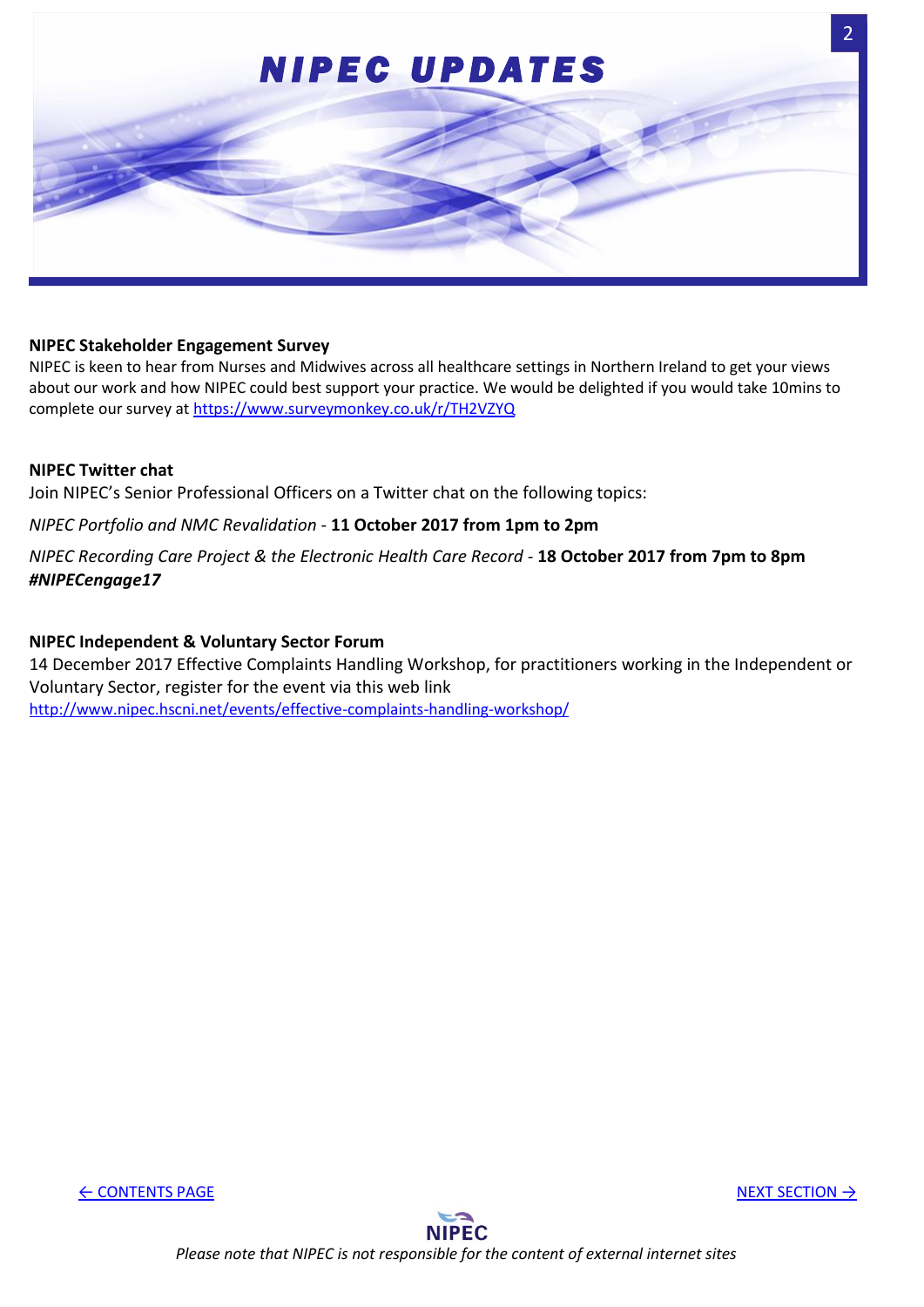<span id="page-2-0"></span>

#### **NIPEC Stakeholder Engagement Survey**

NIPEC is keen to hear from Nurses and Midwives across all healthcare settings in Northern Ireland to get your views about our work and how NIPEC could best support your practice. We would be delighted if you would take 10mins to complete our survey at <https://www.surveymonkey.co.uk/r/TH2VZYQ>

### **NIPEC Twitter chat**

Join NIPEC's Senior Professional Officers on a Twitter chat on the following topics:

*NIPEC Portfolio and NMC Revalidation* - **11 October 2017 from 1pm to 2pm**

*NIPEC Recording Care Project & the Electronic Health Care Record -* **18 October 2017 from 7pm to 8pm** *#NIPECengage17*

#### **NIPEC Independent & Voluntary Sector Forum**

14 December 2017 Effective Complaints Handling Workshop, for practitioners working in the Independent or Voluntary Sector, register for the event via this web link <http://www.nipec.hscni.net/events/effective-complaints-handling-workshop/>

← [CONTENTS PAGE](#page-1-0) [NEXT SECTION](#page-3-0) →

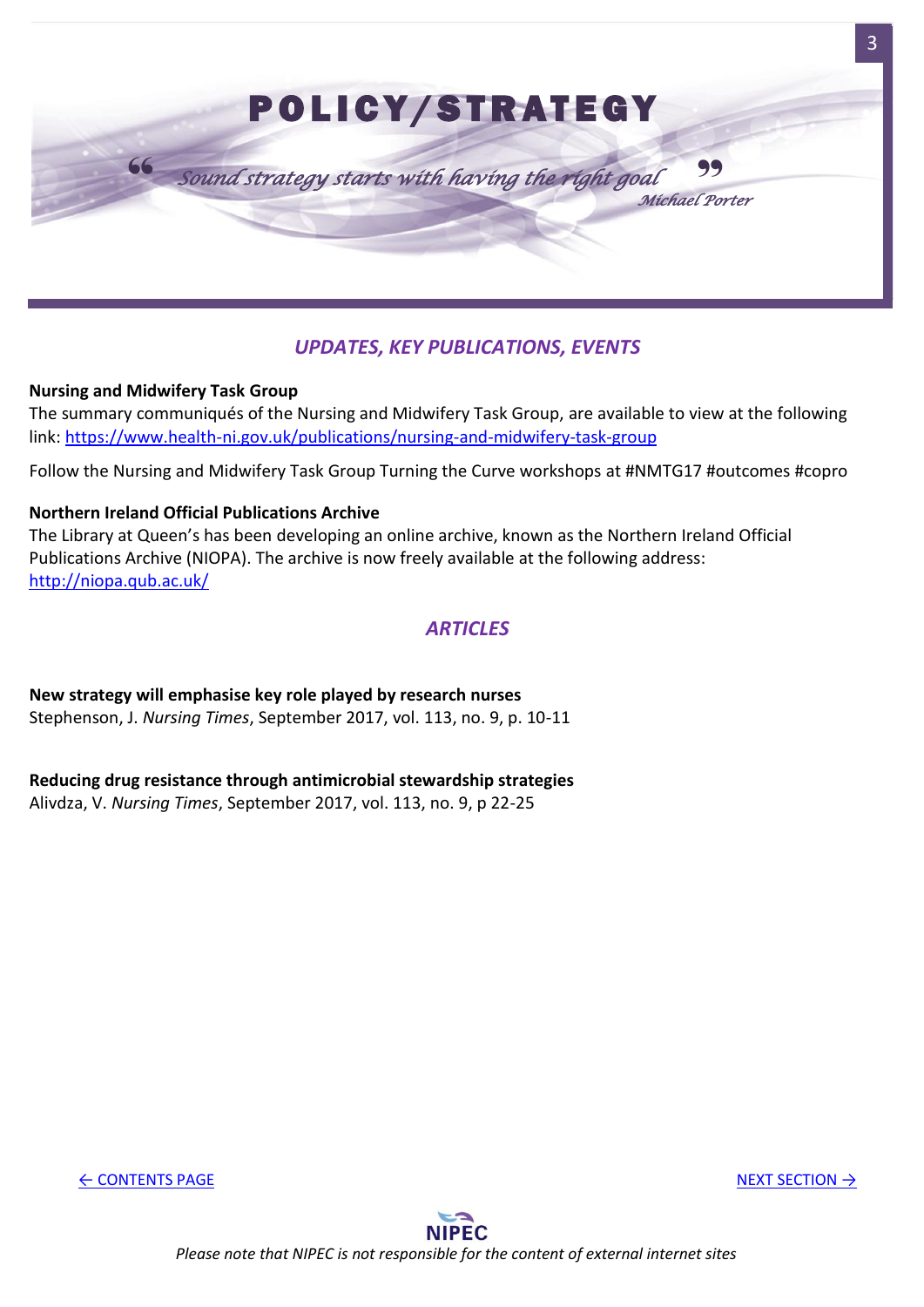<span id="page-3-0"></span>

# *UPDATES, KEY PUBLICATIONS, EVENTS*

## **Nursing and Midwifery Task Group**

The summary communiqués of the Nursing and Midwifery Task Group, are available to view at the following link:<https://www.health-ni.gov.uk/publications/nursing-and-midwifery-task-group>

Follow the Nursing and Midwifery Task Group Turning the Curve workshops at #NMTG17 #outcomes #copro

## **Northern Ireland Official Publications Archive**

The Library at Queen's has been developing an online archive, known as the Northern Ireland Official Publications Archive (NIOPA). The archive is now freely available at the following address: <http://niopa.qub.ac.uk/>

## *ARTICLES*

**New strategy will emphasise key role played by research nurses** Stephenson, J. *Nursing Times*, September 2017, vol. 113, no. 9, p. 10-11

## **Reducing drug resistance through antimicrobial stewardship strategies**

Alivdza, V. *Nursing Times*, September 2017, vol. 113, no. 9, p 22-25

← [CONTENTS PAGE](#page-1-0) [NEXT SECTION](#page-4-0) → NEXT SECTION → NEXT SECTION → NEXT SECTION → NEXT SECTION → NEXT SECTION → NEXT SECTION → NEXT SECTION → NEXT SECTION → NEXT SECTION → NEXT SECTION → NEXT SECTION → NEXT SECTION → NEXT SECTI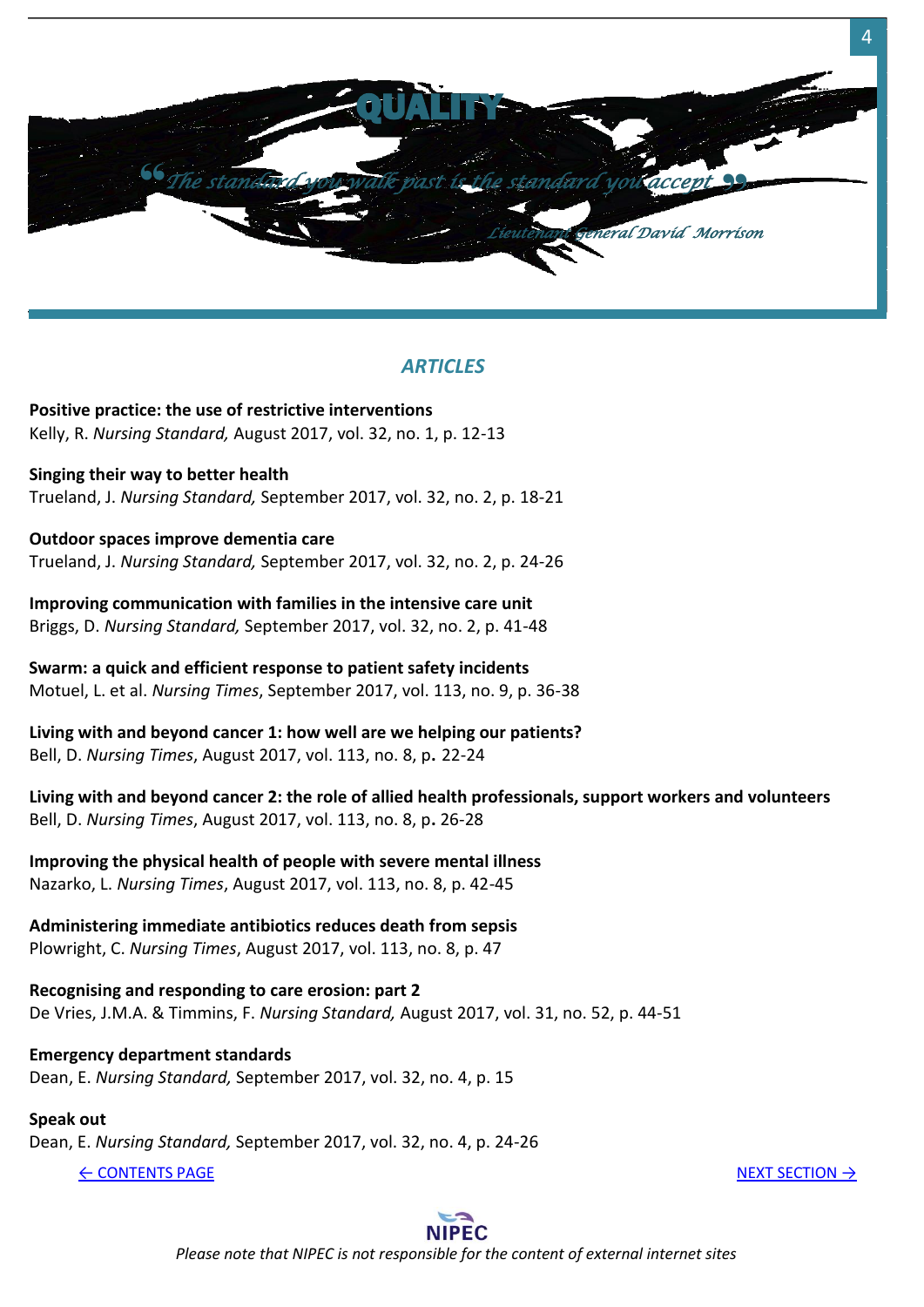<span id="page-4-0"></span>

**Positive practice: the use of restrictive interventions** Kelly, R. *Nursing Standard,* August 2017, vol. 32, no. 1, p. 12-13

**Singing their way to better health** Trueland, J. *Nursing Standard,* September 2017, vol. 32, no. 2, p. 18-21

**Outdoor spaces improve dementia care** Trueland, J. *Nursing Standard,* September 2017, vol. 32, no. 2, p. 24-26

**Improving communication with families in the intensive care unit** Briggs, D. *Nursing Standard,* September 2017, vol. 32, no. 2, p. 41-48

**Swarm: a quick and efficient response to patient safety incidents** Motuel, L. et al. *Nursing Times*, September 2017, vol. 113, no. 9, p. 36-38

**Living with and beyond cancer 1: how well are we helping our patients?**  Bell, D. *Nursing Times*, August 2017, vol. 113, no. 8, p**.** 22-24

**Living with and beyond cancer 2: the role of allied health professionals, support workers and volunteers** Bell, D. *Nursing Times*, August 2017, vol. 113, no. 8, p**.** 26-28

**Improving the physical health of people with severe mental illness** Nazarko, L. *Nursing Times*, August 2017, vol. 113, no. 8, p. 42-45

## **Administering immediate antibiotics reduces death from sepsis**

Plowright, C. *Nursing Times*, August 2017, vol. 113, no. 8, p. 47

**Recognising and responding to care erosion: part 2** De Vries, J.M.A. & Timmins, F. *Nursing Standard,* August 2017, vol. 31, no. 52, p. 44-51

## **Emergency department standards**

Dean, E. *Nursing Standard,* September 2017, vol. 32, no. 4, p. 15

# **Speak out**

Dean, E. *Nursing Standard,* September 2017, vol. 32, no. 4, p. 24-26

← [CONTENTS PAGE](#page-1-0) [NEXT SECTION](#page-5-0) → NEXT SECTION → NEXT SECTION → NEXT SECTION → NEXT SECTION → NEXT SECTION → NEXT SECTION → NEXT SECTION → NEXT SECTION → NEXT SECTION → NEXT SECTION → NEXT SECTION → NEXT SECTION → NEXT SECTI



*Please note that NIPEC is not responsible for the content of external internet sites*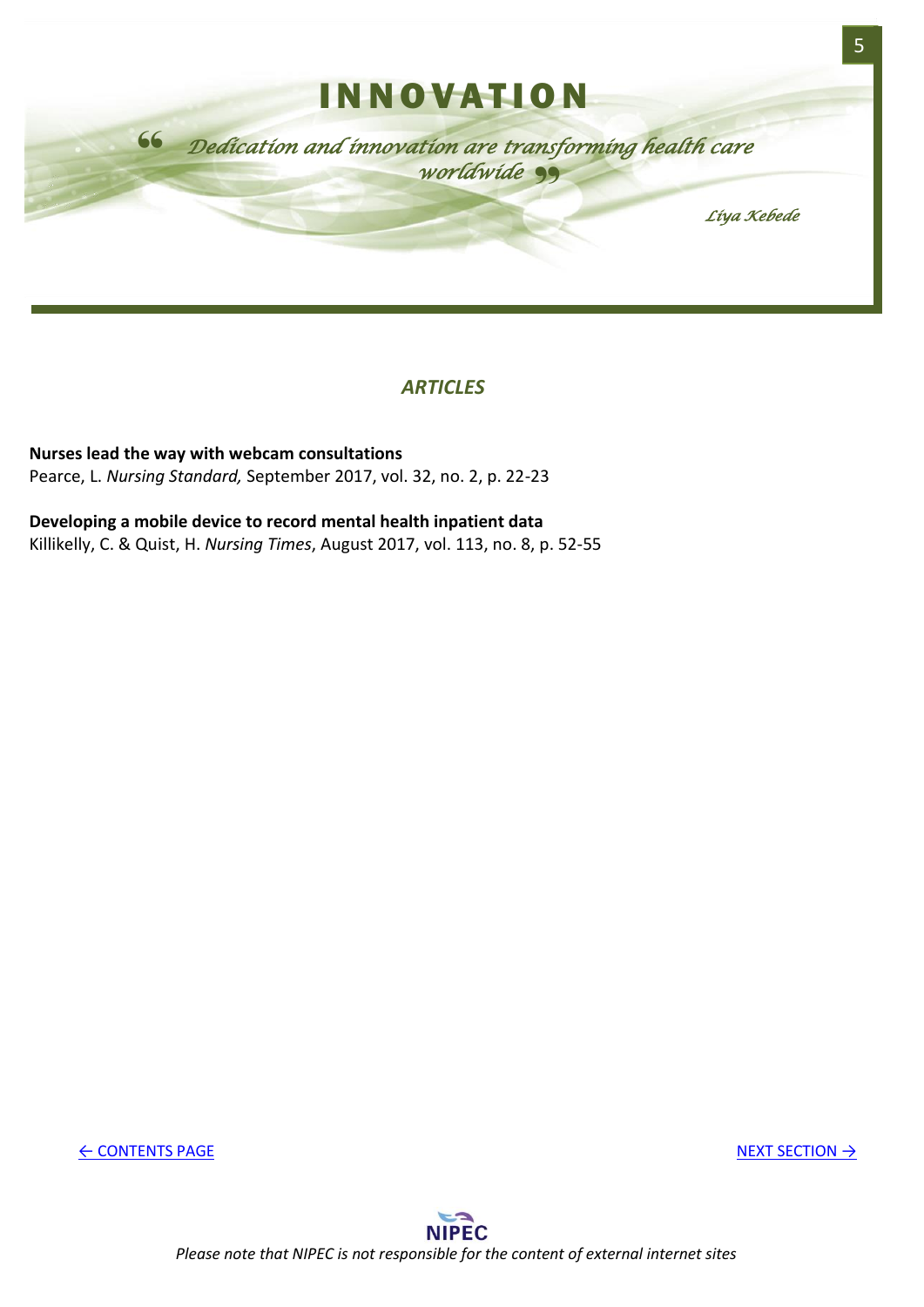<span id="page-5-0"></span>

**Nurses lead the way with webcam consultations** Pearce, L. *Nursing Standard,* September 2017, vol. 32, no. 2, p. 22-23

## **Developing a mobile device to record mental health inpatient data**

Killikelly, C. & Quist, H. *Nursing Times*, August 2017, vol. 113, no. 8, p. 52-55

← [CONTENTS PAGE](#page-1-0) [NEXT SECTION](#page-6-0) →

5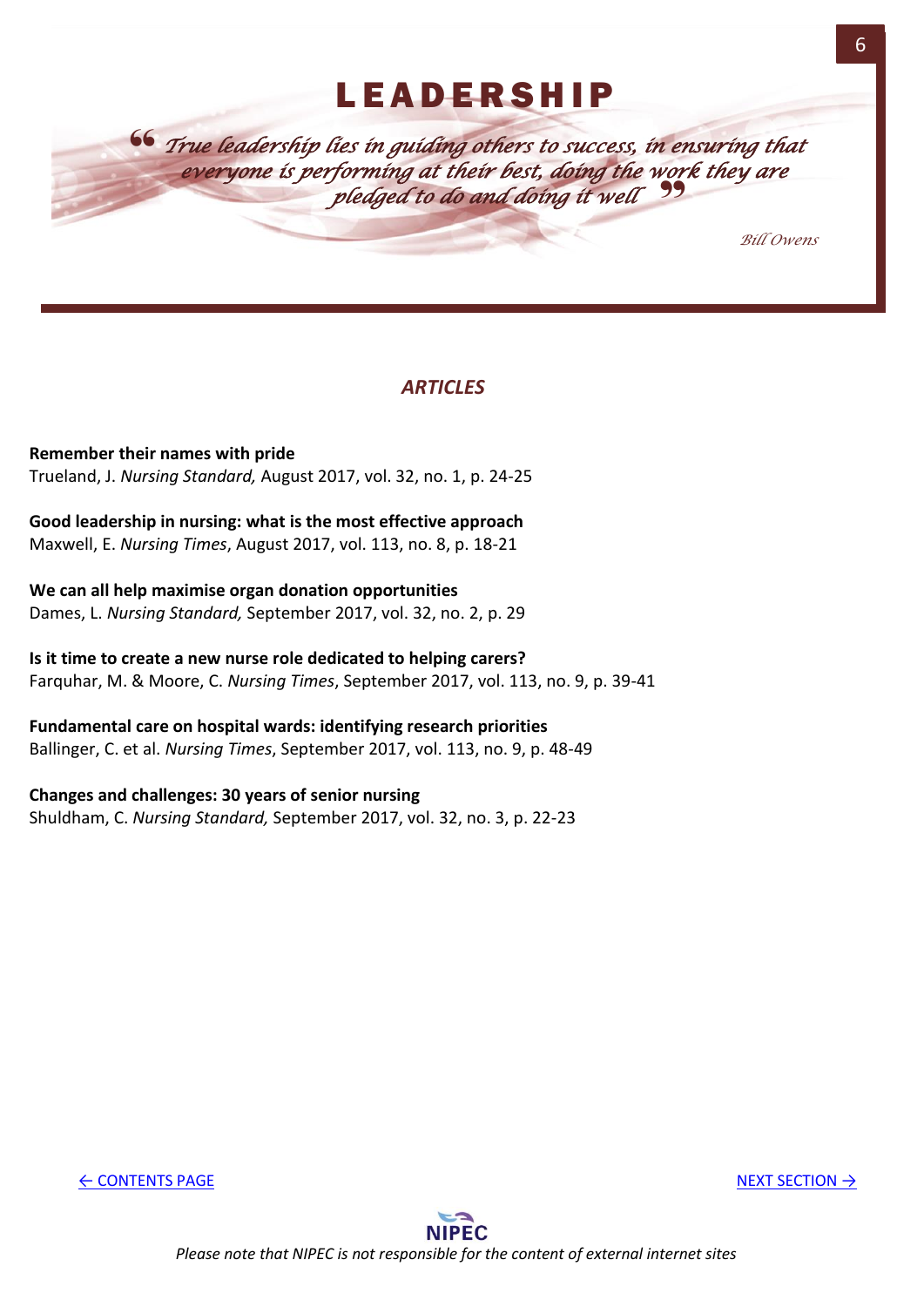# **LEADERSHIP**

<span id="page-6-0"></span>" *True leadership lies in guiding others to success, in ensuring that*  everyone is performing at their best, doing the work they are<br>**pledged to do and doing it well** *pledged to do and doing it well*

*Bill Owens* 

6

# *ARTICLES*

**Remember their names with pride** Trueland, J. *Nursing Standard,* August 2017, vol. 32, no. 1, p. 24-25

**Good leadership in nursing: what is the most effective approach** Maxwell, E. *Nursing Times*, August 2017, vol. 113, no. 8, p. 18-21

**We can all help maximise organ donation opportunities** Dames, L. *Nursing Standard,* September 2017, vol. 32, no. 2, p. 29

**Is it time to create a new nurse role dedicated to helping carers?** Farquhar, M. & Moore, C. *Nursing Times*, September 2017, vol. 113, no. 9, p. 39-41

**Fundamental care on hospital wards: identifying research priorities** Ballinger, C. et al. *Nursing Times*, September 2017, vol. 113, no. 9, p. 48-49

**Changes and challenges: 30 years of senior nursing** Shuldham, C. *Nursing Standard,* September 2017, vol. 32, no. 3, p. 22-23

← [CONTENTS PAGE](#page-1-0) [NEXT SECTION](#page-7-0) → NEXT SECTION → NEXT SECTION → NEXT SECTION → NEXT SECTION → NEXT SECTION → NEXT SECTION → NEXT SECTION → NEXT SECTION → NEXT SECTION → NEXT SECTION → NEXT SECTION → NEXT SECTION → NEXT SECTI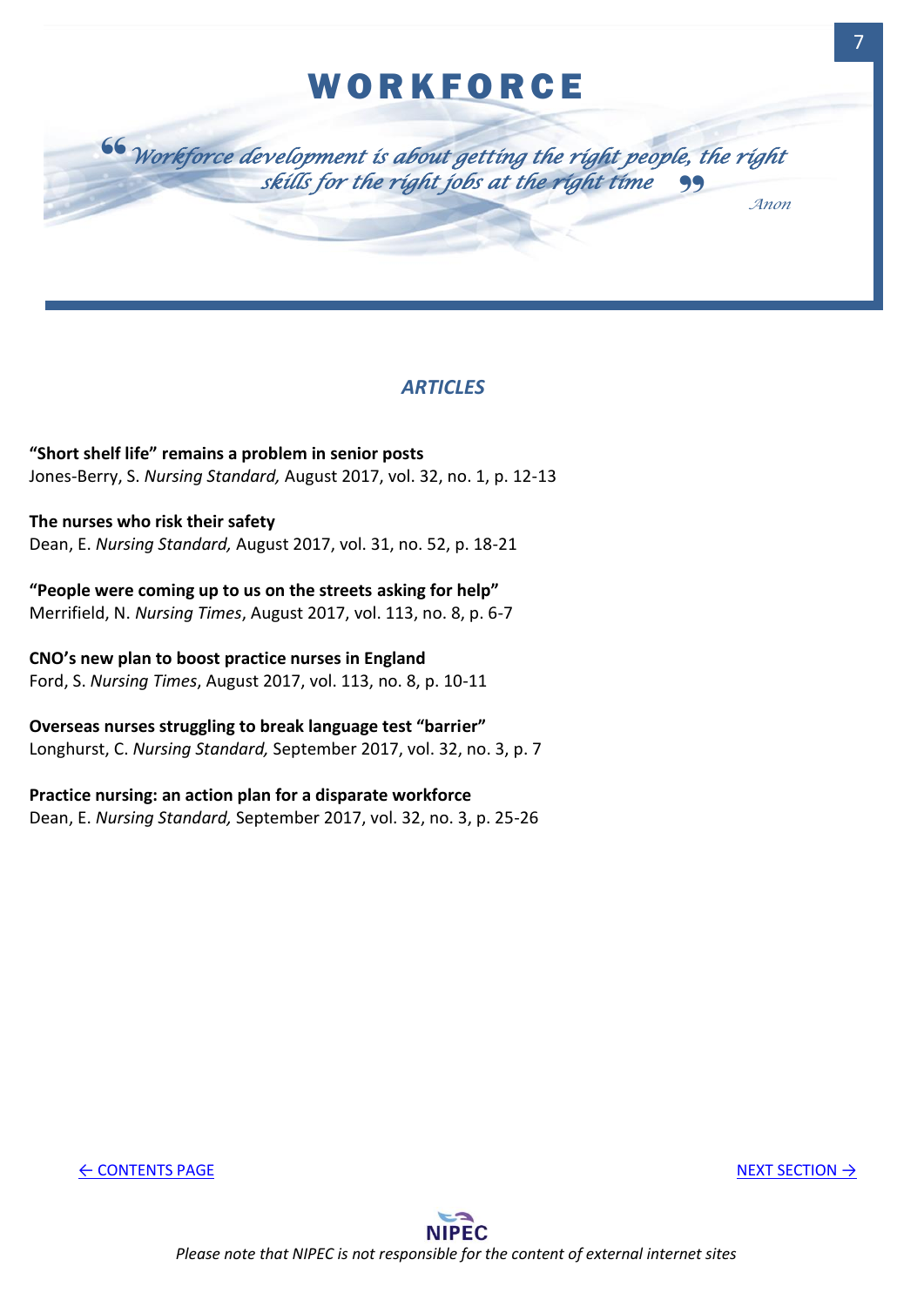# **WORKFORCE**

<span id="page-7-0"></span>

## *ARTICLES*

**"Short shelf life" remains a problem in senior posts** Jones-Berry, S. *Nursing Standard,* August 2017, vol. 32, no. 1, p. 12-13

**The nurses who risk their safety** Dean, E. *Nursing Standard,* August 2017, vol. 31, no. 52, p. 18-21

**"People were coming up to us on the streets asking for help"** Merrifield, N. *Nursing Times*, August 2017, vol. 113, no. 8, p. 6-7

**CNO's new plan to boost practice nurses in England** Ford, S. *Nursing Times*, August 2017, vol. 113, no. 8, p. 10-11

**Overseas nurses struggling to break language test "barrier"** Longhurst, C. *Nursing Standard,* September 2017, vol. 32, no. 3, p. 7

**Practice nursing: an action plan for a disparate workforce**

Dean, E. *Nursing Standard,* September 2017, vol. 32, no. 3, p. 25-26

← [CONTENTS PAGE](#page-1-0) [NEXT SECTION](#page-8-0) → NEXT SECTION → NEXT SECTION → NEXT SECTION → NEXT SECTION → NEXT SECTION → NEXT SECTION → NEXT SECTION → NEXT SECTION → NEXT SECTION → NEXT SECTION → NEXT SECTION → NEXT SECTION → NEXT SECTI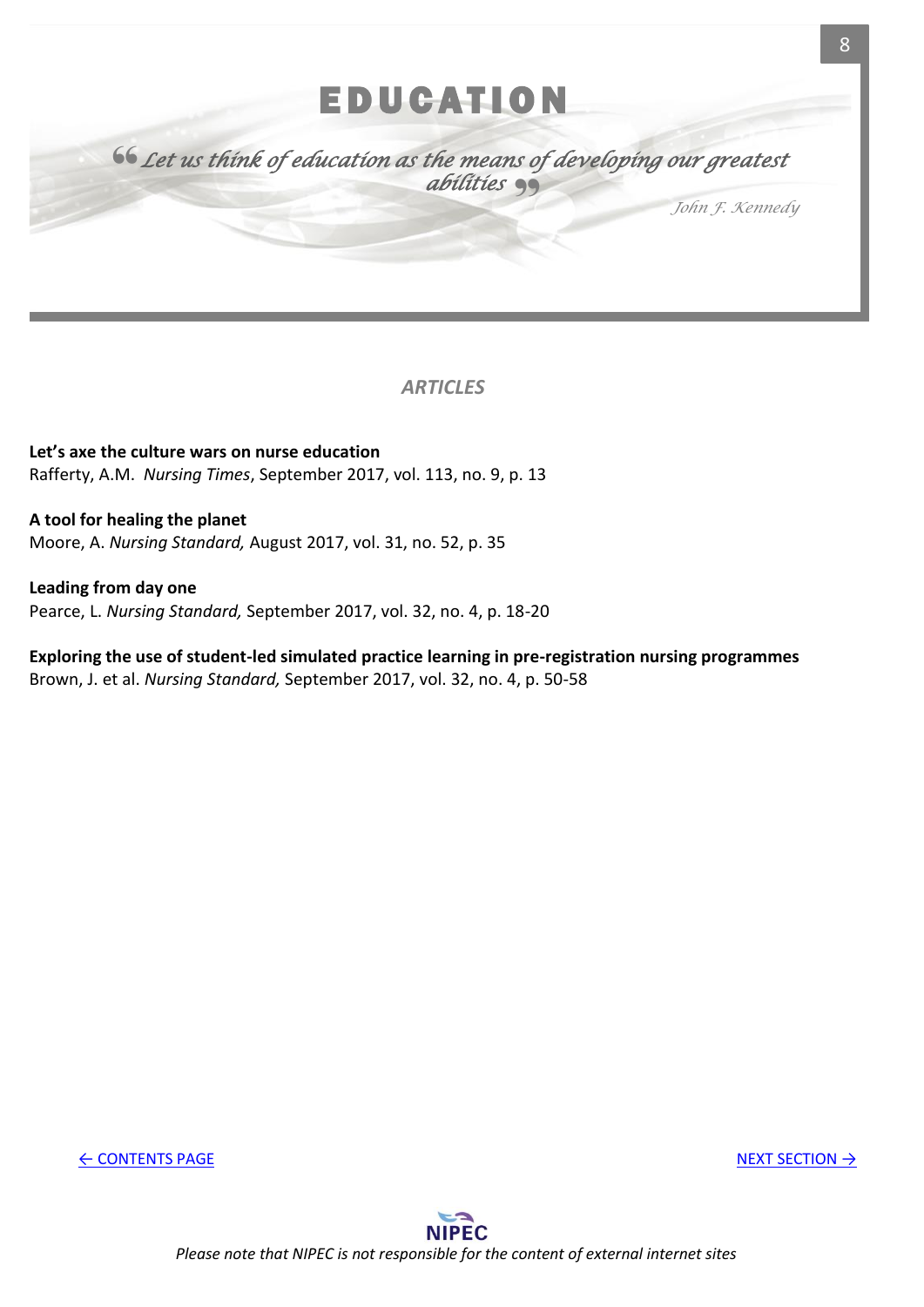# **EDUCATION**

<span id="page-8-0"></span>" " *Let us think of education as the means of developing our greatest abilities* 

*John F. Kennedy*

*ARTICLES*

**Let's axe the culture wars on nurse education** Rafferty, A.M. *Nursing Times*, September 2017, vol. 113, no. 9, p. 13

**A tool for healing the planet** Moore, A. *Nursing Standard,* August 2017, vol. 31, no. 52, p. 35

**Leading from day one** Pearce, L. *Nursing Standard,* September 2017, vol. 32, no. 4, p. 18-20

**Exploring the use of student-led simulated practice learning in pre-registration nursing programmes** Brown, J. et al. *Nursing Standard,* September 2017, vol. 32, no. 4, p. 50-58

← [CONTENTS PAGE](#page-1-0) [NEXT SECTION](#page-9-0) →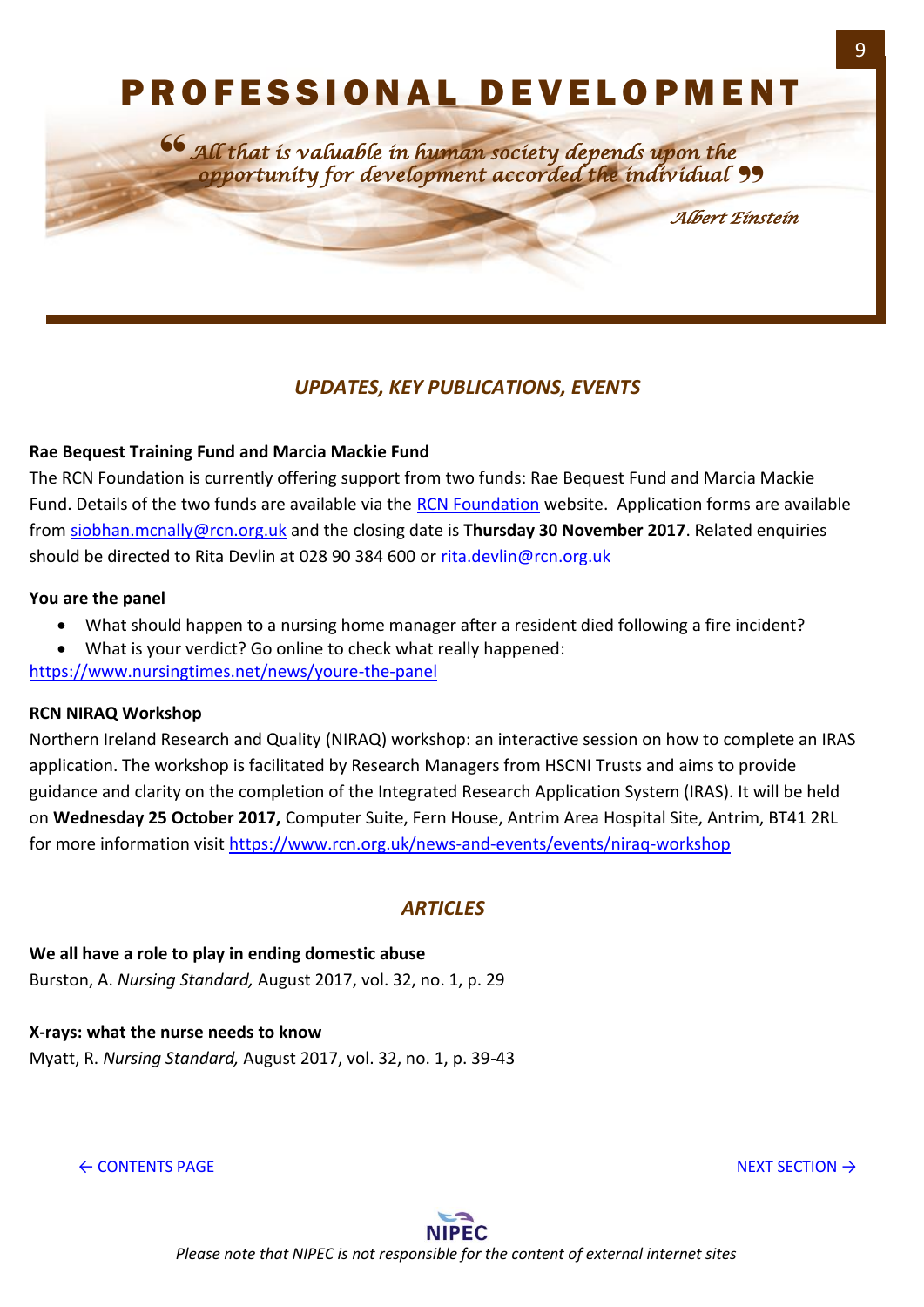# P R O F E S S I O N A L D E V E L O P M E N T

<span id="page-9-0"></span>*All that is valuable in human society depends upon the opportunity for development accorded the individual* " 66<br>=

*Albert Einstein*

# *UPDATES, KEY PUBLICATIONS, EVENTS*

## **Rae Bequest Training Fund and Marcia Mackie Fund**

The RCN Foundation is currently offering support from two funds: Rae Bequest Fund and Marcia Mackie Fund. Details of the two funds are available via the [RCN Foundation](http://www.rcnfoundation.org.uk/how_we_can_help/bursary_schemes/rae_bequest_training_and_marcia_mackie_fund) website. Application forms are available from [siobhan.mcnally@rcn.org.uk](mailto:siobhan.mcnally@rcn.org.uk) and the closing date is **Thursday 30 November 2017**. Related enquiries should be directed to Rita Devlin at 028 90 384 600 or [rita.devlin@rcn.org.uk](mailto:rita.devlin@rcn.org.uk)

#### **You are the panel**

- What should happen to a nursing home manager after a resident died following a fire incident?
- What is your verdict? Go online to check what really happened:

<https://www.nursingtimes.net/news/youre-the-panel>

## **RCN NIRAQ Workshop**

Northern Ireland Research and Quality (NIRAQ) workshop: an interactive session on how to complete an IRAS application. The workshop is facilitated by Research Managers from HSCNI Trusts and aims to provide guidance and clarity on the completion of the Integrated Research Application System (IRAS). It will be held on **Wednesday 25 October 2017,** Computer Suite, Fern House, Antrim Area Hospital Site, Antrim, BT41 2RL for more information visit<https://www.rcn.org.uk/news-and-events/events/niraq-workshop>

## *ARTICLES*

**We all have a role to play in ending domestic abuse** Burston, A. *Nursing Standard,* August 2017, vol. 32, no. 1, p. 29

**X-rays: what the nurse needs to know** Myatt, R. *Nursing Standard,* August 2017, vol. 32, no. 1, p. 39-43

← [CONTENTS PAGE](#page-1-0) [NEXT SECTION](#page-11-0) → NEXT SECTION → NEXT SECTION → NEXT SECTION → NEXT SECTION → NEXT SECTION → NEXT SECTION → NEXT SECTION → NEXT SECTION → NEXT SECTION → NEXT SECTION → NEXT SECTION → NEXT SECTION → NEXT SECTI



*Please note that NIPEC is not responsible for the content of external internet sites*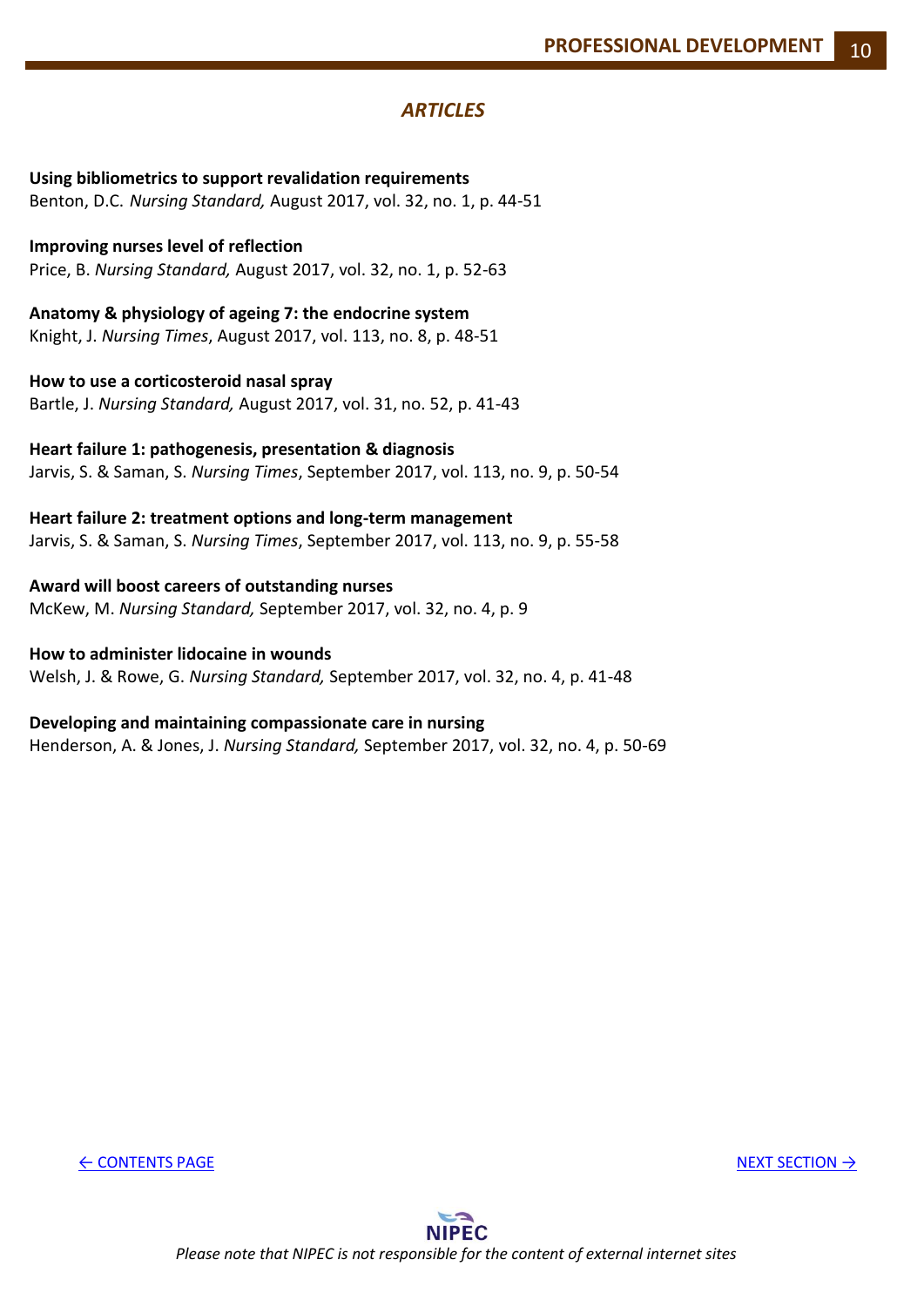**Using bibliometrics to support revalidation requirements** Benton, D.C. *Nursing Standard,* August 2017, vol. 32, no. 1, p. 44-51

**Improving nurses level of reflection** Price, B. *Nursing Standard,* August 2017, vol. 32, no. 1, p. 52-63

**Anatomy & physiology of ageing 7: the endocrine system** Knight, J. *Nursing Times*, August 2017, vol. 113, no. 8, p. 48-51

**How to use a corticosteroid nasal spray** Bartle, J. *Nursing Standard,* August 2017, vol. 31, no. 52, p. 41-43

**Heart failure 1: pathogenesis, presentation & diagnosis** Jarvis, S. & Saman, S. *Nursing Times*, September 2017, vol. 113, no. 9, p. 50-54

**Heart failure 2: treatment options and long-term management** Jarvis, S. & Saman, S. *Nursing Times*, September 2017, vol. 113, no. 9, p. 55-58

**Award will boost careers of outstanding nurses**  McKew, M. *Nursing Standard,* September 2017, vol. 32, no. 4, p. 9

**How to administer lidocaine in wounds** Welsh, J. & Rowe, G. *Nursing Standard,* September 2017, vol. 32, no. 4, p. 41-48

**Developing and maintaining compassionate care in nursing** Henderson, A. & Jones, J. *Nursing Standard,* September 2017, vol. 32, no. 4, p. 50-69

← [CONTENTS PAGE](#page-1-0) [NEXT SECTION](#page-11-0) →

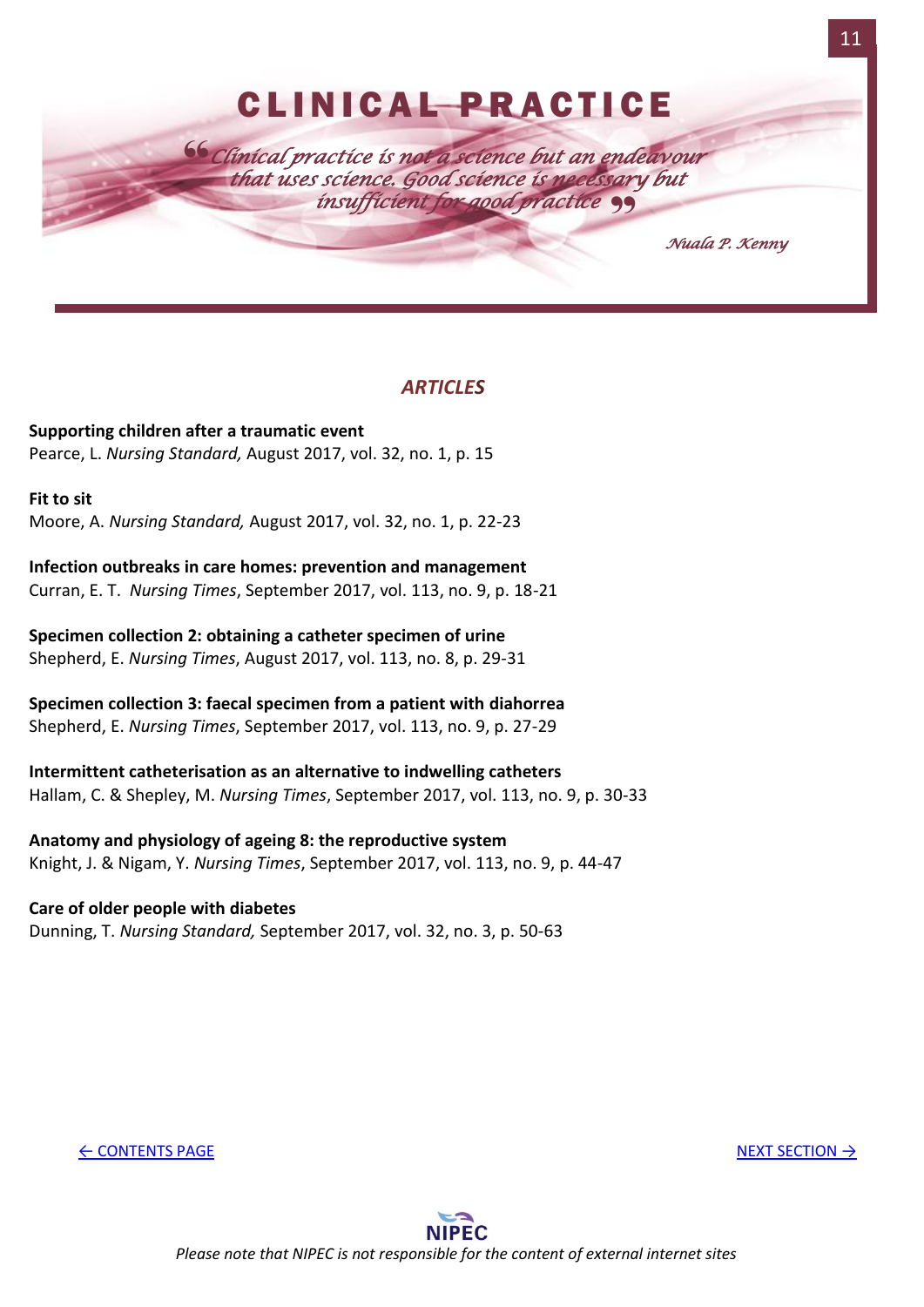<span id="page-11-0"></span>

**Supporting children after a traumatic event** Pearce, L. *Nursing Standard,* August 2017, vol. 32, no. 1, p. 15

#### **Fit to sit**

Moore, A. *Nursing Standard,* August 2017, vol. 32, no. 1, p. 22-23

**Infection outbreaks in care homes: prevention and management** Curran, E. T. *Nursing Times*, September 2017, vol. 113, no. 9, p. 18-21

**Specimen collection 2: obtaining a catheter specimen of urine** Shepherd, E. *Nursing Times*, August 2017, vol. 113, no. 8, p. 29-31

**Specimen collection 3: faecal specimen from a patient with diahorrea** Shepherd, E. *Nursing Times*, September 2017, vol. 113, no. 9, p. 27-29

**Intermittent catheterisation as an alternative to indwelling catheters** Hallam, C. & Shepley, M. *Nursing Times*, September 2017, vol. 113, no. 9, p. 30-33

**Anatomy and physiology of ageing 8: the reproductive system** Knight, J. & Nigam, Y. *Nursing Times*, September 2017, vol. 113, no. 9, p. 44-47

## **Care of older people with diabetes**

Dunning, T. *Nursing Standard,* September 2017, vol. 32, no. 3, p. 50-63

← [CONTENTS PAGE](#page-1-0) [NEXT SECTION](#page-12-0) → NEXT SECTION → NEXT SECTION → NEXT SECTION → NEXT SECTION → NEXT SECTION → NEXT SECTION → NEXT SECTION → NEXT SECTION → NEXT SECTION → NEXT SECTION → NEXT SECTION → NEXT SECTION → NEXT SECTI

11